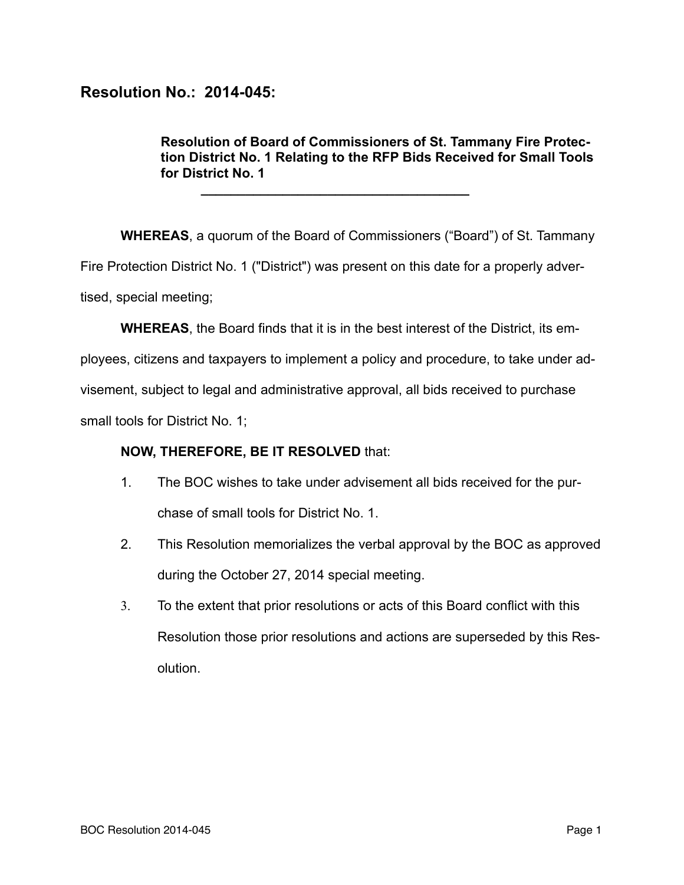## **Resolution No.: 2014-045:**

**Resolution of Board of Commissioners of St. Tammany Fire Protection District No. 1 Relating to the RFP Bids Received for Small Tools for District No. 1** 

**WHEREAS**, a quorum of the Board of Commissioners ("Board") of St. Tammany Fire Protection District No. 1 ("District") was present on this date for a properly advertised, special meeting;

**WHEREAS**, the Board finds that it is in the best interest of the District, its em-

ployees, citizens and taxpayers to implement a policy and procedure, to take under advisement, subject to legal and administrative approval, all bids received to purchase small tools for District No. 1;

## **NOW, THEREFORE, BE IT RESOLVED** that:

**\_\_\_\_\_\_\_\_\_\_\_\_\_\_\_\_\_\_\_\_\_\_\_\_\_\_\_\_\_\_\_\_\_\_\_\_** 

- 1. The BOC wishes to take under advisement all bids received for the purchase of small tools for District No. 1.
- 2. This Resolution memorializes the verbal approval by the BOC as approved during the October 27, 2014 special meeting.
- 3. To the extent that prior resolutions or acts of this Board conflict with this Resolution those prior resolutions and actions are superseded by this Resolution.